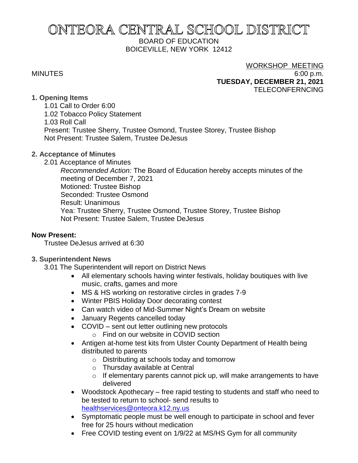# ONTEORA CENTRAL SCHOOL DISTRICT BOARD OF EDUCATION BOICEVILLE, NEW YORK 12412

#### WORKSHOP MEETING

MINUTES 6:00 p.m. **TUESDAY, DECEMBER 21, 2021** TELECONFERNCING

#### **1. Opening Items**

1.01 Call to Order 6:00 1.02 Tobacco Policy Statement 1.03 Roll Call Present: Trustee Sherry, Trustee Osmond, Trustee Storey, Trustee Bishop Not Present: Trustee Salem, Trustee DeJesus

# **2. Acceptance of Minutes**

2.01 Acceptance of Minutes

*Recommended Action:* The Board of Education hereby accepts minutes of the meeting of December 7, 2021 Motioned: Trustee Bishop Seconded: Trustee Osmond Result: Unanimous Yea: Trustee Sherry, Trustee Osmond, Trustee Storey, Trustee Bishop Not Present: Trustee Salem, Trustee DeJesus

# **Now Present:**

Trustee DeJesus arrived at 6:30

# **3. Superintendent News**

3.01 The Superintendent will report on District News

- All elementary schools having winter festivals, holiday boutiques with live music, crafts, games and more
- MS & HS working on restorative circles in grades 7-9
- Winter PBIS Holiday Door decorating contest
- Can watch video of Mid-Summer Night's Dream on website
- January Regents cancelled today
- COVID sent out letter outlining new protocols
	- o Find on our website in COVID section
- Antigen at-home test kits from Ulster County Department of Health being distributed to parents
	- o Distributing at schools today and tomorrow
	- o Thursday available at Central
	- o If elementary parents cannot pick up, will make arrangements to have delivered
- Woodstock Apothecary free rapid testing to students and staff who need to be tested to return to school- send results to [healthservices@onteora.k12.ny.us](mailto:healthservices@onteora.k12.ny.us)
- Symptomatic people must be well enough to participate in school and fever free for 25 hours without medication
- Free COVID testing event on 1/9/22 at MS/HS Gym for all community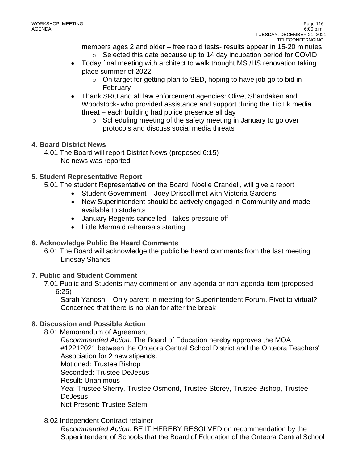members ages 2 and older – free rapid tests- results appear in 15-20 minutes

- o Selected this date because up to 14 day incubation period for COVID
- Today final meeting with architect to walk thought MS /HS renovation taking place summer of 2022
	- $\circ$  On target for getting plan to SED, hoping to have job go to bid in February
- Thank SRO and all law enforcement agencies: Olive, Shandaken and Woodstock- who provided assistance and support during the TicTik media threat – each building had police presence all day
	- o Scheduling meeting of the safety meeting in January to go over protocols and discuss social media threats

# **4. Board District News**

4.01 The Board will report District News (proposed 6:15) No news was reported

# **5. Student Representative Report**

5.01 The student Representative on the Board, Noelle Crandell, will give a report

- Student Government Joey Driscoll met with Victoria Gardens
- New Superintendent should be actively engaged in Community and made available to students
- January Regents cancelled takes pressure off
- Little Mermaid rehearsals starting

# **6. Acknowledge Public Be Heard Comments**

6.01 The Board will acknowledge the public be heard comments from the last meeting Lindsay Shands

# **7. Public and Student Comment**

7.01 Public and Students may comment on any agenda or non-agenda item (proposed 6:25)

Sarah Yanosh – Only parent in meeting for Superintendent Forum. Pivot to virtual? Concerned that there is no plan for after the break

# **8. Discussion and Possible Action**

8.01 Memorandum of Agreement

*Recommended Action:* The Board of Education hereby approves the MOA #12212021 between the Onteora Central School District and the Onteora Teachers' Association for 2 new stipends. Motioned: Trustee Bishop Seconded: Trustee DeJesus Result: Unanimous Yea: Trustee Sherry, Trustee Osmond, Trustee Storey, Trustee Bishop, Trustee DeJesus Not Present: Trustee Salem

8.02 Independent Contract retainer

*Recommended Action:* BE IT HEREBY RESOLVED on recommendation by the Superintendent of Schools that the Board of Education of the Onteora Central School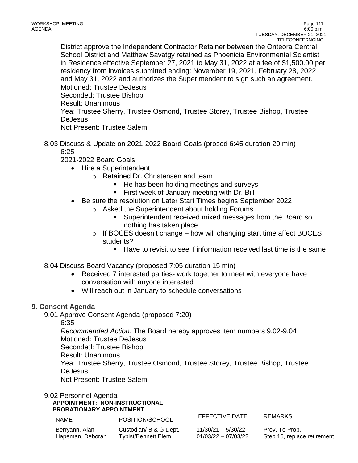District approve the Independent Contractor Retainer between the Onteora Central School District and Matthew Savatgy retained as Phoenicia Environmental Scientist in Residence effective September 27, 2021 to May 31, 2022 at a fee of \$1,500.00 per residency from invoices submitted ending: November 19, 2021, February 28, 2022 and May 31, 2022 and authorizes the Superintendent to sign such an agreement. Motioned: Trustee DeJesus Seconded: Trustee Bishop Result: Unanimous Yea: Trustee Sherry, Trustee Osmond, Trustee Storey, Trustee Bishop, Trustee **DeJesus** Not Present: Trustee Salem

8.03 Discuss & Update on 2021-2022 Board Goals (prosed 6:45 duration 20 min) 6:25

2021-2022 Board Goals

- Hire a Superintendent
	- o Retained Dr. Christensen and team
		- He has been holding meetings and surveys
		- First week of January meeting with Dr. Bill
	- Be sure the resolution on Later Start Times begins September 2022
		- o Asked the Superintendent about holding Forums
			- Superintendent received mixed messages from the Board so nothing has taken place
		- $\circ$  If BOCES doesn't change how will changing start time affect BOCES students?
			- $\blacksquare$  Have to revisit to see if information received last time is the same

8.04 Discuss Board Vacancy (proposed 7:05 duration 15 min)

- Received 7 interested parties- work together to meet with everyone have conversation with anyone interested
- Will reach out in January to schedule conversations

# **9. Consent Agenda**

9.01 Approve Consent Agenda (proposed 7:20)

6:35

*Recommended Action:* The Board hereby approves item numbers 9.02-9.04 Motioned: Trustee DeJesus Seconded: Trustee Bishop Result: Unanimous Yea: Trustee Sherry, Trustee Osmond, Trustee Storey, Trustee Bishop, Trustee

DeJesus

Not Present: Trustee Salem

9.02 Personnel Agenda

**APPOINTMENT: NON-INSTRUCTIONAL PROBATIONARY APPOINTMENT**

| <b>NAME</b>      | POSITION/SCHOOL        | EFFECTIVE DATE        | <b>REMARKS</b>              |
|------------------|------------------------|-----------------------|-----------------------------|
| Berryann, Alan   | Custodian/ B & G Dept. | $11/30/21 - 5/30/22$  | Prov. To Prob.              |
| Hapeman, Deborah | Typist/Bennett Elem.   | $01/03/22 - 07/03/22$ | Step 16, replace retirement |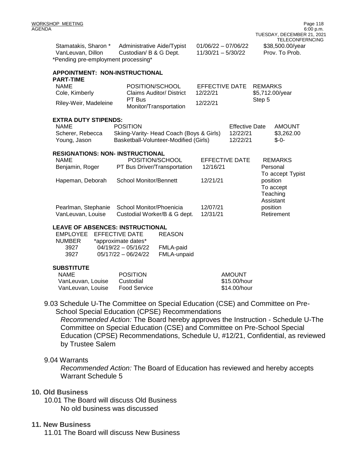| Stamatakis, Sharon *                | Administrative Aide/Typist | 01/06/22 - 07/06/22 | \$38,500.00/year |
|-------------------------------------|----------------------------|---------------------|------------------|
| VanLeuvan, Dillon                   | Custodian/ B & G Dept.     | 11/30/21 - 5/30/22  | Prov. To Prob.   |
| *Pending pre-employment processing* |                            |                     |                  |

| APPOINTMENT: NON-INSTRUCTIONAL<br><b>PART-TIME</b> |                                          |                       |                       |                |                              |
|----------------------------------------------------|------------------------------------------|-----------------------|-----------------------|----------------|------------------------------|
| <b>NAME</b>                                        | POSITION/SCHOOL                          | EFFECTIVE DATE        |                       | <b>REMARKS</b> |                              |
| Cole, Kimberly                                     | Claims Auditor/ District                 | 12/22/21              |                       |                | \$5,712.00/year              |
| Riley-Weir, Madeleine                              | PT Bus<br>Monitor/Transportation         | 12/22/21              |                       | Step 5         |                              |
| <b>EXTRA DUTY STIPENDS:</b>                        |                                          |                       |                       |                |                              |
| <b>NAME</b>                                        | <b>POSITION</b>                          |                       | <b>Effective Date</b> |                | <b>AMOUNT</b>                |
| Scherer, Rebecca                                   | Skiing-Varity- Head Coach (Boys & Girls) |                       | 12/22/21              |                | \$3,262.00                   |
| Young, Jason                                       | Basketball-Volunteer-Modified (Girls)    |                       | 12/22/21              |                | $$ -0-$                      |
| <b>RESIGNATIONS: NON- INSTRUCTIONAL</b>            |                                          |                       |                       |                |                              |
| <b>NAME</b>                                        | POSITION/SCHOOL                          | <b>EFFECTIVE DATE</b> |                       |                | <b>REMARKS</b>               |
| Benjamin, Roger                                    | PT Bus Driver/Transportation             | 12/16/21              |                       |                | Personal                     |
| Hapeman, Deborah                                   | School Monitor/Bennett                   | 12/21/21              |                       |                | To accept Typist<br>position |
|                                                    |                                          |                       |                       |                | To accept                    |
|                                                    |                                          |                       |                       |                | Teaching                     |
|                                                    |                                          |                       |                       |                | Assistant                    |
| Pearlman, Stephanie                                | School Monitor/Phoenicia                 | 12/07/21              |                       |                | position                     |
| VanLeuvan, Louise                                  | Custodial Worker/B & G dept.             | 12/31/21              |                       |                | Retirement                   |
|                                                    |                                          |                       |                       |                |                              |

#### **LEAVE OF ABSENCES: INSTRUCTIONAL**

| EMPLOYEE EFFECTIVE DATE | <b>REASON</b> |
|-------------------------|---------------|
| *approximate dates*     |               |
| $04/19/22 - 05/16/22$   | FMLA-paid     |
| $05/17/22 - 06/24/22$   | FMLA-unpaid   |
|                         |               |

#### **SUBSTITUTE**

| NAME              | <b>POSITION</b> | AMOUNT       |
|-------------------|-----------------|--------------|
| VanLeuvan, Louise | Custodial       | \$15.00/hour |
| VanLeuvan, Louise | Food Service    | \$14.00/hour |

9.03 Schedule U-The Committee on Special Education (CSE) and Committee on Pre-School Special Education (CPSE) Recommendations

*Recommended Action:* The Board hereby approves the Instruction - Schedule U-The Committee on Special Education (CSE) and Committee on Pre-School Special Education (CPSE) Recommendations, Schedule U, #12/21, Confidential, as reviewed by Trustee Salem

#### 9.04 Warrants

*Recommended Action:* The Board of Education has reviewed and hereby accepts Warrant Schedule 5

#### **10. Old Business**

10.01 The Board will discuss Old Business No old business was discussed

#### **11. New Business**

11.01 The Board will discuss New Business